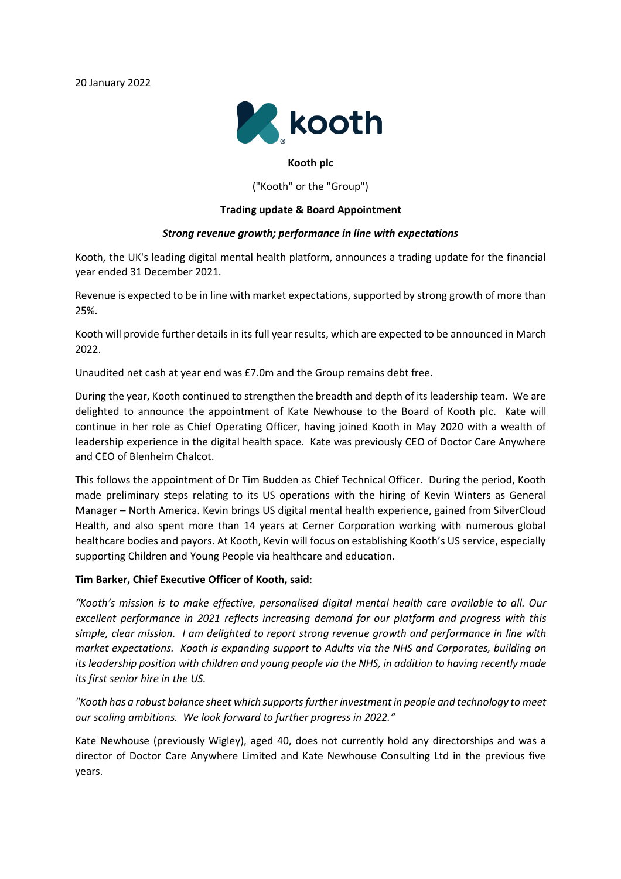

# **Kooth plc**

("Kooth" or the "Group")

## **Trading update & Board Appointment**

## *Strong revenue growth; performance in line with expectations*

Kooth, the UK's leading digital mental health platform, announces a trading update for the financial year ended 31 December 2021.

Revenue is expected to be in line with market expectations, supported by strong growth of more than 25%.

Kooth will provide further details in its full year results, which are expected to be announced in March 2022.

Unaudited net cash at year end was £7.0m and the Group remains debt free.

During the year, Kooth continued to strengthen the breadth and depth of its leadership team. We are delighted to announce the appointment of Kate Newhouse to the Board of Kooth plc. Kate will continue in her role as Chief Operating Officer, having joined Kooth in May 2020 with a wealth of leadership experience in the digital health space. Kate was previously CEO of Doctor Care Anywhere and CEO of Blenheim Chalcot.

This follows the appointment of Dr Tim Budden as Chief Technical Officer. During the period, Kooth made preliminary steps relating to its US operations with the hiring of Kevin Winters as General Manager – North America. Kevin brings US digital mental health experience, gained from SilverCloud Health, and also spent more than 14 years at Cerner Corporation working with numerous global healthcare bodies and payors. At Kooth, Kevin will focus on establishing Kooth's US service, especially supporting Children and Young People via healthcare and education.

#### **Tim Barker, Chief Executive Officer of Kooth, said**:

*"Kooth's mission is to make effective, personalised digital mental health care available to all. Our excellent performance in 2021 reflects increasing demand for our platform and progress with this simple, clear mission. I am delighted to report strong revenue growth and performance in line with market expectations. Kooth is expanding support to Adults via the NHS and Corporates, building on its leadership position with children and young people via the NHS, in addition to having recently made its first senior hire in the US.*

*"Kooth has a robust balance sheet which supportsfurther investment in people and technology to meet our scaling ambitions. We look forward to further progress in 2022."*

Kate Newhouse (previously Wigley), aged 40, does not currently hold any directorships and was a director of Doctor Care Anywhere Limited and Kate Newhouse Consulting Ltd in the previous five years.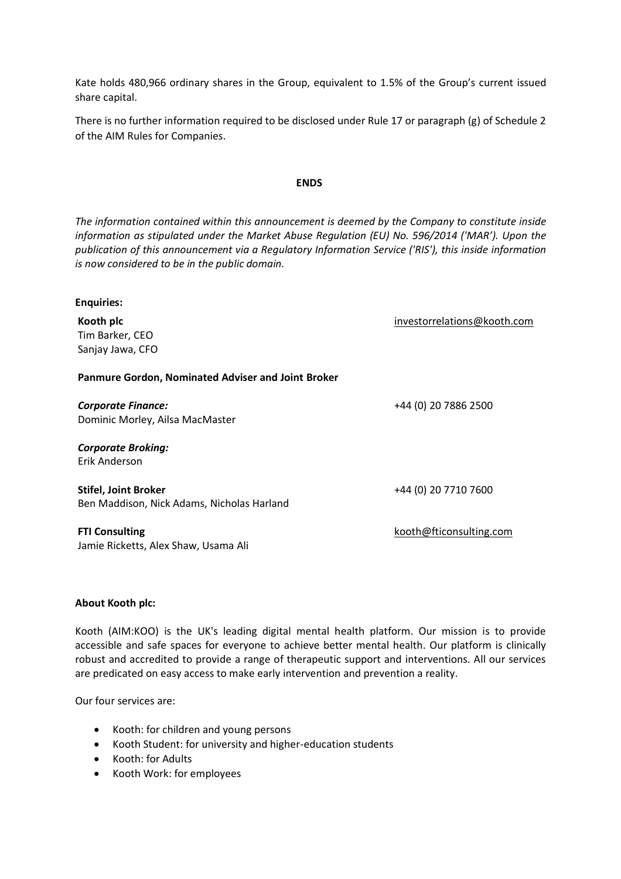Kate holds 480,966 ordinary shares in the Group, equivalent to 1.5% of the Group's current issued share capital.

There is no further information required to be disclosed under Rule 17 or paragraph (g) of Schedule 2 of the AIM Rules for Companies.

#### **ENDS**

*The information contained within this announcement is deemed by the Company to constitute inside information as stipulated under the Market Abuse Regulation (EU) No. 596/2014 ('MAR'). Upon the publication of this announcement via a Regulatory Information Service ('RIS'), this inside information is now considered to be in the public domain.*

| <b>Enquiries:</b>                                         |                             |
|-----------------------------------------------------------|-----------------------------|
| Kooth plc                                                 | investorrelations@kooth.com |
| Tim Barker, CEO                                           |                             |
| Sanjay Jawa, CFO                                          |                             |
| <b>Panmure Gordon, Nominated Adviser and Joint Broker</b> |                             |
| <b>Corporate Finance:</b>                                 | +44 (0) 20 7886 2500        |
| Dominic Morley, Ailsa MacMaster                           |                             |
| <b>Corporate Broking:</b>                                 |                             |
| Erik Anderson                                             |                             |
| <b>Stifel, Joint Broker</b>                               | +44 (0) 20 7710 7600        |
| Ben Maddison, Nick Adams, Nicholas Harland                |                             |
| <b>FTI Consulting</b>                                     | kooth@fticonsulting.com     |

### **About Kooth plc:**

Kooth (AIM:KOO) is the UK's leading digital mental health platform. Our mission is to provide accessible and safe spaces for everyone to achieve better mental health. Our platform is clinically robust and accredited to provide a range of therapeutic support and interventions. All our services are predicated on easy access to make early intervention and prevention a reality.

Our four services are:

- Kooth: for children and young persons
- Kooth Student: for university and higher-education students
- Kooth: for Adults
- Kooth Work: for employees

Jamie Ricketts, Alex Shaw, Usama Ali